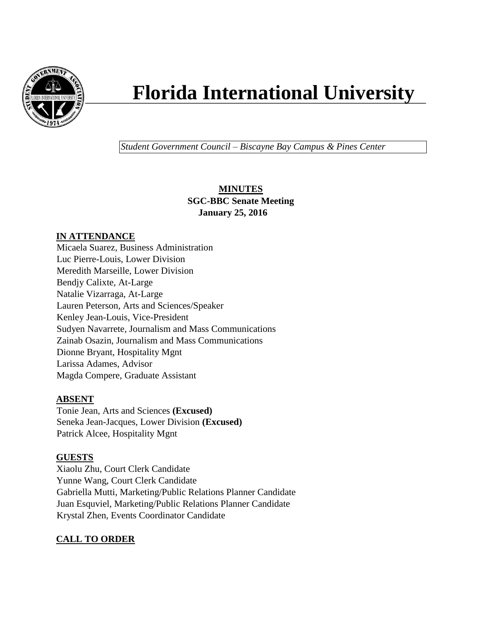

# **Florida International University**

*Student Government Council – Biscayne Bay Campus & Pines Center*

# **MINUTES SGC-BBC Senate Meeting January 25, 2016**

# **IN ATTENDANCE**

Micaela Suarez, Business Administration Luc Pierre-Louis, Lower Division Meredith Marseille, Lower Division Bendjy Calixte, At-Large Natalie Vizarraga, At-Large Lauren Peterson, Arts and Sciences/Speaker Kenley Jean-Louis, Vice-President Sudyen Navarrete, Journalism and Mass Communications Zainab Osazin, Journalism and Mass Communications Dionne Bryant, Hospitality Mgnt Larissa Adames, Advisor Magda Compere, Graduate Assistant

# **ABSENT**

Tonie Jean, Arts and Sciences **(Excused)** Seneka Jean-Jacques, Lower Division **(Excused)** Patrick Alcee, Hospitality Mgnt

# **GUESTS**

Xiaolu Zhu, Court Clerk Candidate Yunne Wang, Court Clerk Candidate Gabriella Mutti, Marketing/Public Relations Planner Candidate Juan Esquviel, Marketing/Public Relations Planner Candidate Krystal Zhen, Events Coordinator Candidate

# **CALL TO ORDER**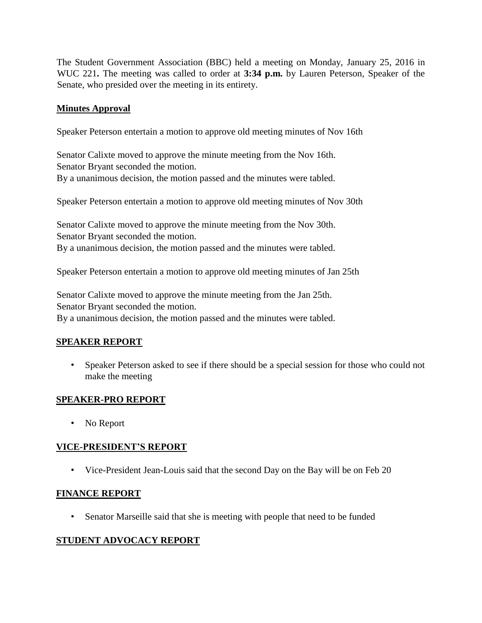The Student Government Association (BBC) held a meeting on Monday, January 25, 2016 in WUC 221**.** The meeting was called to order at **3:34 p.m.** by Lauren Peterson, Speaker of the Senate, who presided over the meeting in its entirety.

## **Minutes Approval**

Speaker Peterson entertain a motion to approve old meeting minutes of Nov 16th

Senator Calixte moved to approve the minute meeting from the Nov 16th. Senator Bryant seconded the motion. By a unanimous decision, the motion passed and the minutes were tabled.

Speaker Peterson entertain a motion to approve old meeting minutes of Nov 30th

Senator Calixte moved to approve the minute meeting from the Nov 30th. Senator Bryant seconded the motion. By a unanimous decision, the motion passed and the minutes were tabled.

Speaker Peterson entertain a motion to approve old meeting minutes of Jan 25th

Senator Calixte moved to approve the minute meeting from the Jan 25th. Senator Bryant seconded the motion. By a unanimous decision, the motion passed and the minutes were tabled.

## **SPEAKER REPORT**

• Speaker Peterson asked to see if there should be a special session for those who could not make the meeting

## **SPEAKER-PRO REPORT**

• No Report

# **VICE-PRESIDENT'S REPORT**

• Vice-President Jean-Louis said that the second Day on the Bay will be on Feb 20

## **FINANCE REPORT**

• Senator Marseille said that she is meeting with people that need to be funded

# **STUDENT ADVOCACY REPORT**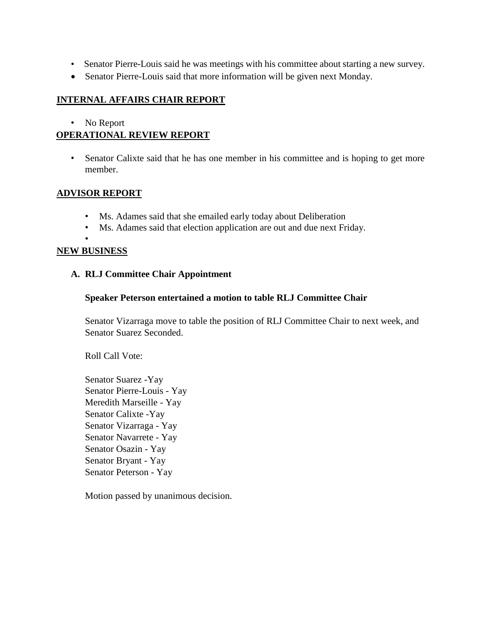- Senator Pierre-Louis said he was meetings with his committee about starting a new survey.
- Senator Pierre-Louis said that more information will be given next Monday.

## **INTERNAL AFFAIRS CHAIR REPORT**

#### • No Report

# **OPERATIONAL REVIEW REPORT**

• Senator Calixte said that he has one member in his committee and is hoping to get more member.

## **ADVISOR REPORT**

- Ms. Adames said that she emailed early today about Deliberation
- Ms. Adames said that election application are out and due next Friday.

•

## **NEW BUSINESS**

## **A. RLJ Committee Chair Appointment**

## **Speaker Peterson entertained a motion to table RLJ Committee Chair**

Senator Vizarraga move to table the position of RLJ Committee Chair to next week, and Senator Suarez Seconded.

Roll Call Vote:

Senator Suarez -Yay Senator Pierre-Louis - Yay Meredith Marseille - Yay Senator Calixte -Yay Senator Vizarraga - Yay Senator Navarrete - Yay Senator Osazin - Yay Senator Bryant - Yay Senator Peterson - Yay

Motion passed by unanimous decision.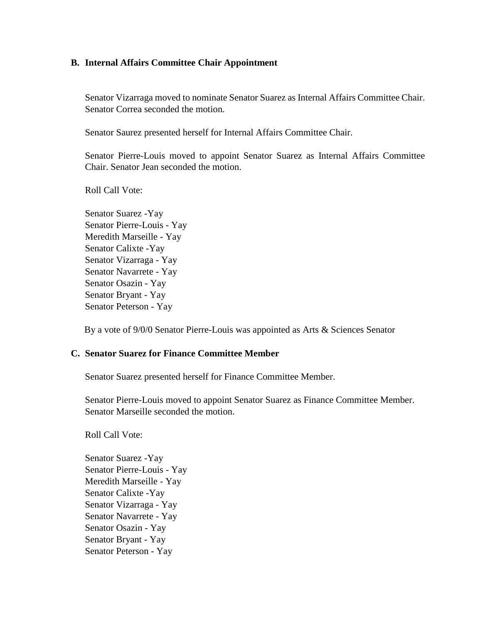#### **B. Internal Affairs Committee Chair Appointment**

Senator Vizarraga moved to nominate Senator Suarez as Internal Affairs Committee Chair. Senator Correa seconded the motion.

Senator Saurez presented herself for Internal Affairs Committee Chair.

Senator Pierre-Louis moved to appoint Senator Suarez as Internal Affairs Committee Chair. Senator Jean seconded the motion.

Roll Call Vote:

Senator Suarez -Yay Senator Pierre-Louis - Yay Meredith Marseille - Yay Senator Calixte -Yay Senator Vizarraga - Yay Senator Navarrete - Yay Senator Osazin - Yay Senator Bryant - Yay Senator Peterson - Yay

By a vote of 9/0/0 Senator Pierre-Louis was appointed as Arts & Sciences Senator

#### **C. Senator Suarez for Finance Committee Member**

Senator Suarez presented herself for Finance Committee Member.

Senator Pierre-Louis moved to appoint Senator Suarez as Finance Committee Member. Senator Marseille seconded the motion.

Roll Call Vote:

Senator Suarez -Yay Senator Pierre-Louis - Yay Meredith Marseille - Yay Senator Calixte -Yay Senator Vizarraga - Yay Senator Navarrete - Yay Senator Osazin - Yay Senator Bryant - Yay Senator Peterson - Yay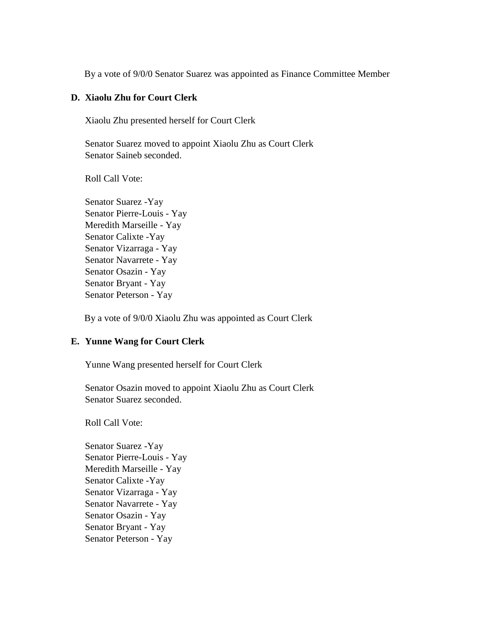By a vote of 9/0/0 Senator Suarez was appointed as Finance Committee Member

#### **D. Xiaolu Zhu for Court Clerk**

Xiaolu Zhu presented herself for Court Clerk

Senator Suarez moved to appoint Xiaolu Zhu as Court Clerk Senator Saineb seconded.

Roll Call Vote:

Senator Suarez -Yay Senator Pierre-Louis - Yay Meredith Marseille - Yay Senator Calixte -Yay Senator Vizarraga - Yay Senator Navarrete - Yay Senator Osazin - Yay Senator Bryant - Yay Senator Peterson - Yay

By a vote of 9/0/0 Xiaolu Zhu was appointed as Court Clerk

#### **E. Yunne Wang for Court Clerk**

Yunne Wang presented herself for Court Clerk

Senator Osazin moved to appoint Xiaolu Zhu as Court Clerk Senator Suarez seconded.

Roll Call Vote:

Senator Suarez -Yay Senator Pierre-Louis - Yay Meredith Marseille - Yay Senator Calixte -Yay Senator Vizarraga - Yay Senator Navarrete - Yay Senator Osazin - Yay Senator Bryant - Yay Senator Peterson - Yay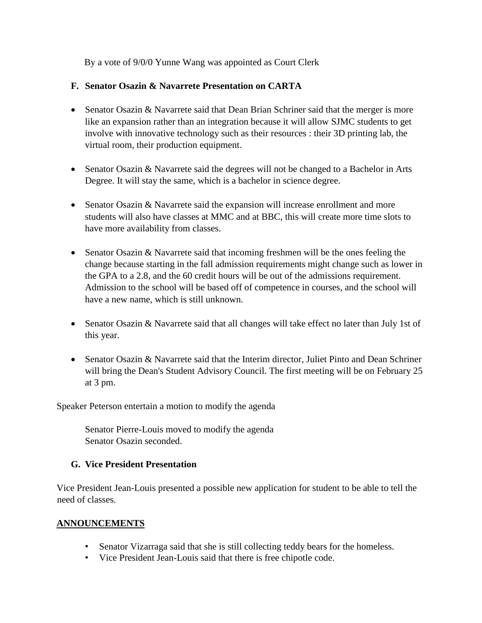By a vote of 9/0/0 Yunne Wang was appointed as Court Clerk

## **F. Senator Osazin & Navarrete Presentation on CARTA**

- Senator Osazin & Navarrete said that Dean Brian Schriner said that the merger is more like an expansion rather than an integration because it will allow SJMC students to get involve with innovative technology such as their resources : their 3D printing lab, the virtual room, their production equipment.
- Senator Osazin & Navarrete said the degrees will not be changed to a Bachelor in Arts Degree. It will stay the same, which is a bachelor in science degree.
- Senator Osazin & Navarrete said the expansion will increase enrollment and more students will also have classes at MMC and at BBC, this will create more time slots to have more availability from classes.
- Senator Osazin & Navarrete said that incoming freshmen will be the ones feeling the change because starting in the fall admission requirements might change such as lower in the GPA to a 2.8, and the 60 credit hours will be out of the admissions requirement. Admission to the school will be based off of competence in courses, and the school will have a new name, which is still unknown.
- Senator Osazin & Navarrete said that all changes will take effect no later than July 1st of this year.
- Senator Osazin & Navarrete said that the Interim director, Juliet Pinto and Dean Schriner will bring the Dean's Student Advisory Council. The first meeting will be on February 25 at 3 pm.

Speaker Peterson entertain a motion to modify the agenda

Senator Pierre-Louis moved to modify the agenda Senator Osazin seconded.

# **G. Vice President Presentation**

Vice President Jean-Louis presented a possible new application for student to be able to tell the need of classes.

# **ANNOUNCEMENTS**

- Senator Vizarraga said that she is still collecting teddy bears for the homeless.
- Vice President Jean-Louis said that there is free chipotle code.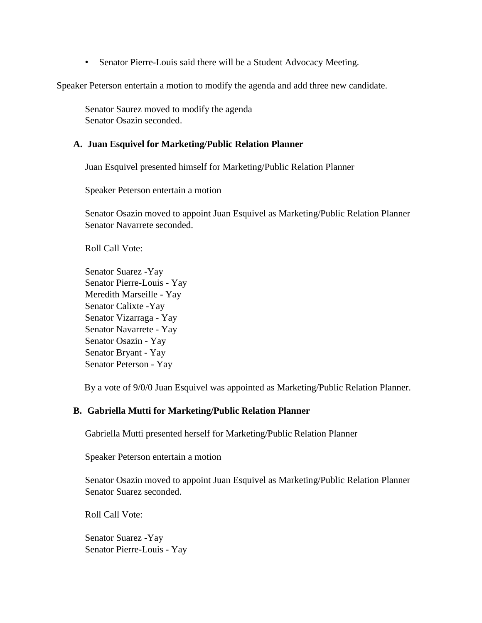• Senator Pierre-Louis said there will be a Student Advocacy Meeting.

Speaker Peterson entertain a motion to modify the agenda and add three new candidate.

Senator Saurez moved to modify the agenda Senator Osazin seconded.

#### **A. Juan Esquivel for Marketing/Public Relation Planner**

Juan Esquivel presented himself for Marketing/Public Relation Planner

Speaker Peterson entertain a motion

Senator Osazin moved to appoint Juan Esquivel as Marketing/Public Relation Planner Senator Navarrete seconded.

Roll Call Vote:

Senator Suarez -Yay Senator Pierre-Louis - Yay Meredith Marseille - Yay Senator Calixte -Yay Senator Vizarraga - Yay Senator Navarrete - Yay Senator Osazin - Yay Senator Bryant - Yay Senator Peterson - Yay

By a vote of 9/0/0 Juan Esquivel was appointed as Marketing/Public Relation Planner.

#### **B. Gabriella Mutti for Marketing/Public Relation Planner**

Gabriella Mutti presented herself for Marketing/Public Relation Planner

Speaker Peterson entertain a motion

Senator Osazin moved to appoint Juan Esquivel as Marketing/Public Relation Planner Senator Suarez seconded.

Roll Call Vote:

Senator Suarez -Yay Senator Pierre-Louis - Yay